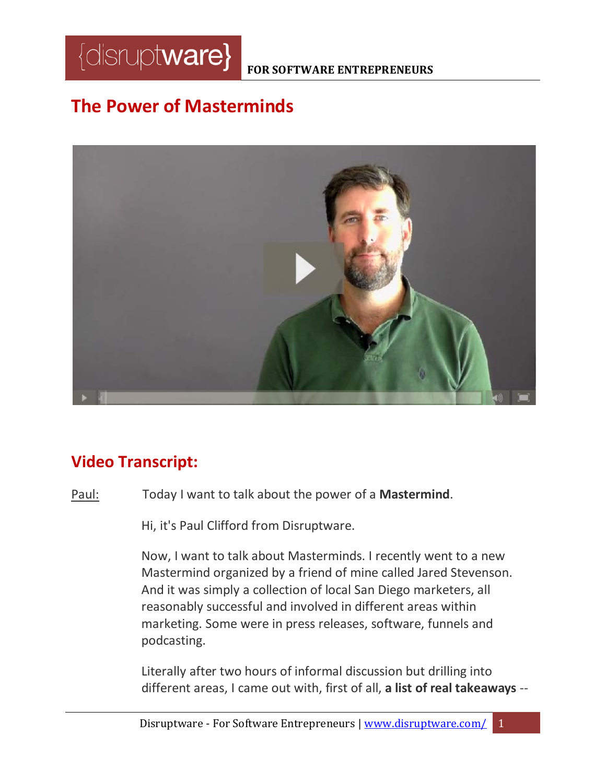

#### **FOR SOFTWARE ENTREPRENEURS**

# **The Power of Masterminds**



## **Video Transcript:**

Paul: Today I want to talk about the power of a **Mastermind**.

Hi, it's Paul Clifford from Disruptware.

Now, I want to talk about Masterminds. I recently went to a new Mastermind organized by a friend of mine called Jared Stevenson. And it was simply a collection of local San Diego marketers, all reasonably successful and involved in different areas within marketing. Some were in press releases, software, funnels and podcasting.

Literally after two hours of informal discussion but drilling into different areas, I came out with, first of all, **a list of real takeaways** --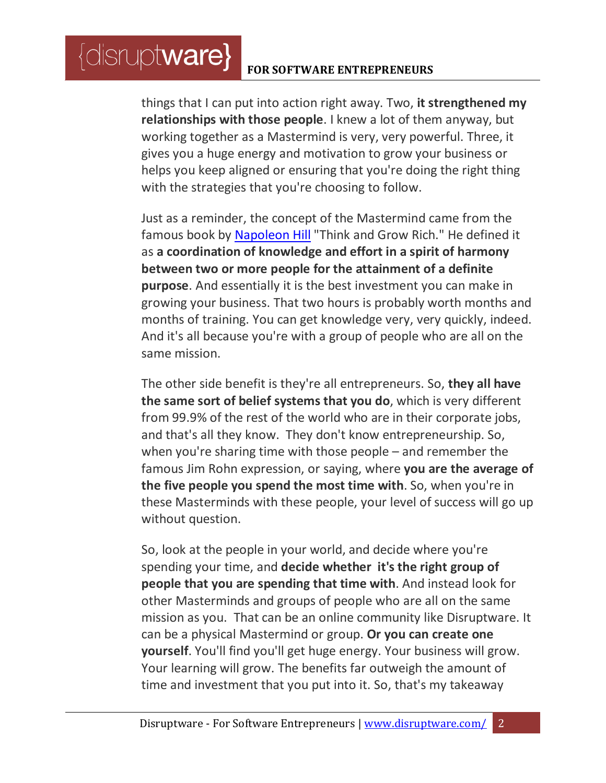### **FOR SOFTWARE ENTREPRENEURS**

 $\{$ disrupt**ware** $\}$ 

things that I can put into action right away. Two, **it strengthened my relationships with those people**. I knew a lot of them anyway, but working together as a Mastermind is very, very powerful. Three, it gives you a huge energy and motivation to grow your business or helps you keep aligned or ensuring that you're doing the right thing with the strategies that you're choosing to follow.

Just as a reminder, the concept of the Mastermind came from the famous book by [Napoleon Hill](http://www.amazon.com/Think-Grow-Rich-Napoleon-Hill/dp/1604591870/ref=sr_1_1?s=books&ie=UTF8&qid=1399035094&sr=1-1&keywords=think+and+grow+rich) "Think and Grow Rich." He defined it as **a coordination of knowledge and effort in a spirit of harmony between two or more people for the attainment of a definite purpose**. And essentially it is the best investment you can make in growing your business. That two hours is probably worth months and months of training. You can get knowledge very, very quickly, indeed. And it's all because you're with a group of people who are all on the same mission.

The other side benefit is they're all entrepreneurs. So, **they all have the same sort of belief systems that you do**, which is very different from 99.9% of the rest of the world who are in their corporate jobs, and that's all they know. They don't know entrepreneurship. So, when you're sharing time with those people – and remember the famous Jim Rohn expression, or saying, where **you are the average of the five people you spend the most time with**. So, when you're in these Masterminds with these people, your level of success will go up without question.

So, look at the people in your world, and decide where you're spending your time, and **decide whether it's the right group of people that you are spending that time with**. And instead look for other Masterminds and groups of people who are all on the same mission as you. That can be an online community like Disruptware. It can be a physical Mastermind or group. **Or you can create one yourself**. You'll find you'll get huge energy. Your business will grow. Your learning will grow. The benefits far outweigh the amount of time and investment that you put into it. So, that's my takeaway